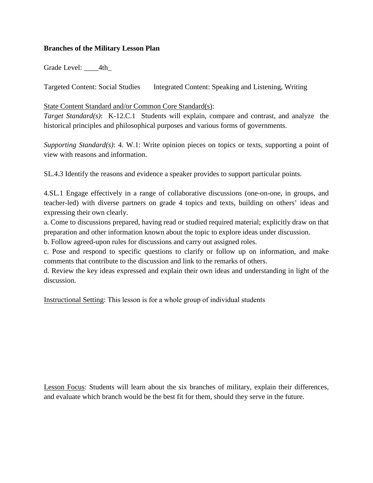## **Branches of the Military Lesson Plan**

Grade Level: 4th

**Targeted Content: Social Studies** Integrated Content: Speaking and Listening, Writing

## State Content Standard and/or Common Core Standard(s):

*Target Standard(s)*: K-12.C.1 Students will explain, compare and contrast, and analyze the historical principles and philosophical purposes and various forms of governments.

*Supporting Standard(s)*: 4. W.1: Write opinion pieces on topics or texts, supporting a point of view with reasons and information.

SL.4.3 Identify the reasons and evidence a speaker provides to support particular points.

4.SL.1 Engage effectively in a range of collaborative discussions (one-on-one, in groups, and teacher-led) with diverse partners on grade 4 topics and texts, building on others' ideas and expressing their own clearly.

a. Come to discussions prepared, having read or studied required material; explicitly draw on that preparation and other information known about the topic to explore ideas under discussion.

b. Follow agreed-upon rules for discussions and carry out assigned roles.

c. Pose and respond to specific questions to clarify or follow up on information, and make comments that contribute to the discussion and link to the remarks of others.

d. Review the key ideas expressed and explain their own ideas and understanding in light of the discussion.

Instructional Setting: This lesson is for a whole group of individual students

Lesson Focus: Students will learn about the six branches of military, explain their differences, and evaluate which branch would be the best fit for them, should they serve in the future.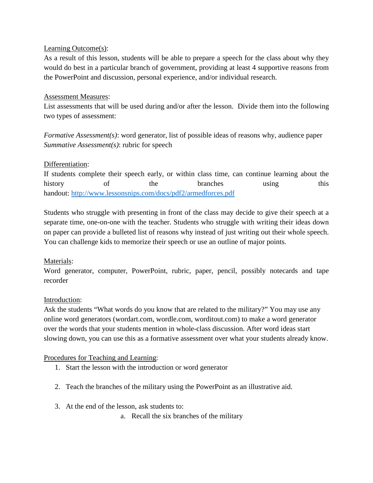## Learning Outcome(s):

As a result of this lesson, students will be able to prepare a speech for the class about why they would do best in a particular branch of government, providing at least 4 supportive reasons from the PowerPoint and discussion, personal experience, and/or individual research.

## Assessment Measures:

List assessments that will be used during and/or after the lesson. Divide them into the following two types of assessment:

*Formative Assessment(s)*: word generator, list of possible ideas of reasons why, audience paper *Summative Assessment(s)*: rubric for speech

# Differentiation:

If students complete their speech early, or within class time, can continue learning about the history of the branches using this handout:<http://www.lessonsnips.com/docs/pdf2/armedforces.pdf>

Students who struggle with presenting in front of the class may decide to give their speech at a separate time, one-on-one with the teacher. Students who struggle with writing their ideas down on paper can provide a bulleted list of reasons why instead of just writing out their whole speech. You can challenge kids to memorize their speech or use an outline of major points.

# Materials:

Word generator, computer, PowerPoint, rubric, paper, pencil, possibly notecards and tape recorder

# Introduction:

Ask the students "What words do you know that are related to the military?" You may use any online word generators (wordart.com, wordle.com, worditout.com) to make a word generator over the words that your students mention in whole-class discussion. After word ideas start slowing down, you can use this as a formative assessment over what your students already know.

#### Procedures for Teaching and Learning:

- 1. Start the lesson with the introduction or word generator
- 2. Teach the branches of the military using the PowerPoint as an illustrative aid.
- 3. At the end of the lesson, ask students to:

a. Recall the six branches of the military